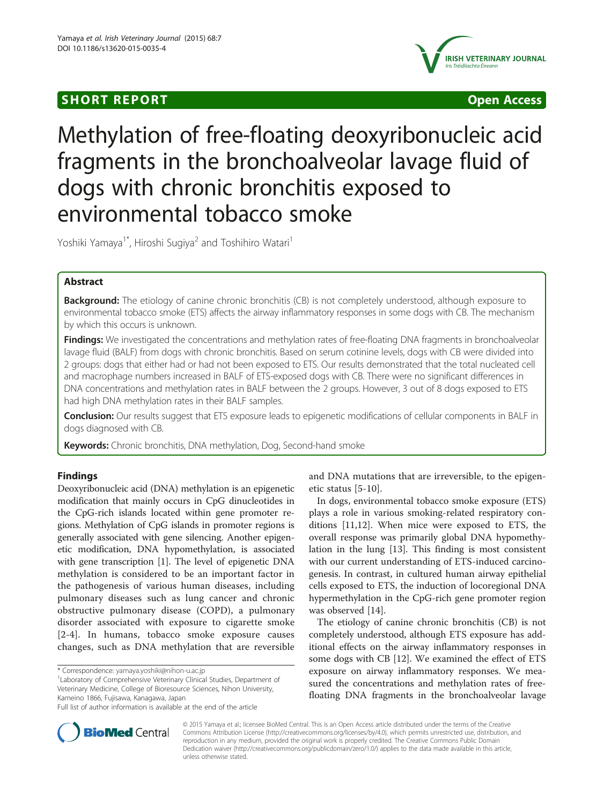# **SHORT REPORT SHORT CONSUMING ACCESS**



# Methylation of free-floating deoxyribonucleic acid fragments in the bronchoalveolar lavage fluid of dogs with chronic bronchitis exposed to environmental tobacco smoke

Yoshiki Yamaya<sup>1\*</sup>, Hiroshi Sugiya<sup>2</sup> and Toshihiro Watari<sup>1</sup>

# Abstract

**Background:** The etiology of canine chronic bronchitis (CB) is not completely understood, although exposure to environmental tobacco smoke (ETS) affects the airway inflammatory responses in some dogs with CB. The mechanism by which this occurs is unknown.

Findings: We investigated the concentrations and methylation rates of free-floating DNA fragments in bronchoalveolar lavage fluid (BALF) from dogs with chronic bronchitis. Based on serum cotinine levels, dogs with CB were divided into 2 groups: dogs that either had or had not been exposed to ETS. Our results demonstrated that the total nucleated cell and macrophage numbers increased in BALF of ETS-exposed dogs with CB. There were no significant differences in DNA concentrations and methylation rates in BALF between the 2 groups. However, 3 out of 8 dogs exposed to ETS had high DNA methylation rates in their BALF samples.

Conclusion: Our results suggest that ETS exposure leads to epigenetic modifications of cellular components in BALF in dogs diagnosed with CB.

Keywords: Chronic bronchitis, DNA methylation, Dog, Second-hand smoke

# Findings

Deoxyribonucleic acid (DNA) methylation is an epigenetic modification that mainly occurs in CpG dinucleotides in the CpG-rich islands located within gene promoter regions. Methylation of CpG islands in promoter regions is generally associated with gene silencing. Another epigenetic modification, DNA hypomethylation, is associated with gene transcription [\[1](#page-2-0)]. The level of epigenetic DNA methylation is considered to be an important factor in the pathogenesis of various human diseases, including pulmonary diseases such as lung cancer and chronic obstructive pulmonary disease (COPD), a pulmonary disorder associated with exposure to cigarette smoke [[2-4\]](#page-2-0). In humans, tobacco smoke exposure causes changes, such as DNA methylation that are reversible

Laboratory of Comprehensive Veterinary Clinical Studies, Department of Veterinary Medicine, College of Bioresource Sciences, Nihon University, Kameino 1866, Fujisawa, Kanagawa, Japan

and DNA mutations that are irreversible, to the epigenetic status [[5-10\]](#page-2-0).

In dogs, environmental tobacco smoke exposure (ETS) plays a role in various smoking-related respiratory conditions [\[11,12](#page-2-0)]. When mice were exposed to ETS, the overall response was primarily global DNA hypomethylation in the lung [\[13\]](#page-2-0). This finding is most consistent with our current understanding of ETS-induced carcinogenesis. In contrast, in cultured human airway epithelial cells exposed to ETS, the induction of locoregional DNA hypermethylation in the CpG-rich gene promoter region was observed [\[14](#page-2-0)].

The etiology of canine chronic bronchitis (CB) is not completely understood, although ETS exposure has additional effects on the airway inflammatory responses in some dogs with CB [\[12\]](#page-2-0). We examined the effect of ETS exposure on airway inflammatory responses. We measured the concentrations and methylation rates of freefloating DNA fragments in the bronchoalveolar lavage



© 2015 Yamaya et al.; licensee BioMed Central. This is an Open Access article distributed under the terms of the Creative Commons Attribution License [\(http://creativecommons.org/licenses/by/4.0\)](http://creativecommons.org/licenses/by/4.0), which permits unrestricted use, distribution, and reproduction in any medium, provided the original work is properly credited. The Creative Commons Public Domain Dedication waiver [\(http://creativecommons.org/publicdomain/zero/1.0/](http://creativecommons.org/publicdomain/zero/1.0/)) applies to the data made available in this article, unless otherwise stated.

<sup>\*</sup> Correspondence: [yamaya.yoshiki@nihon-u.ac.jp](mailto:yamaya.yoshiki@nihon-u.ac.jp) <sup>1</sup>

Full list of author information is available at the end of the article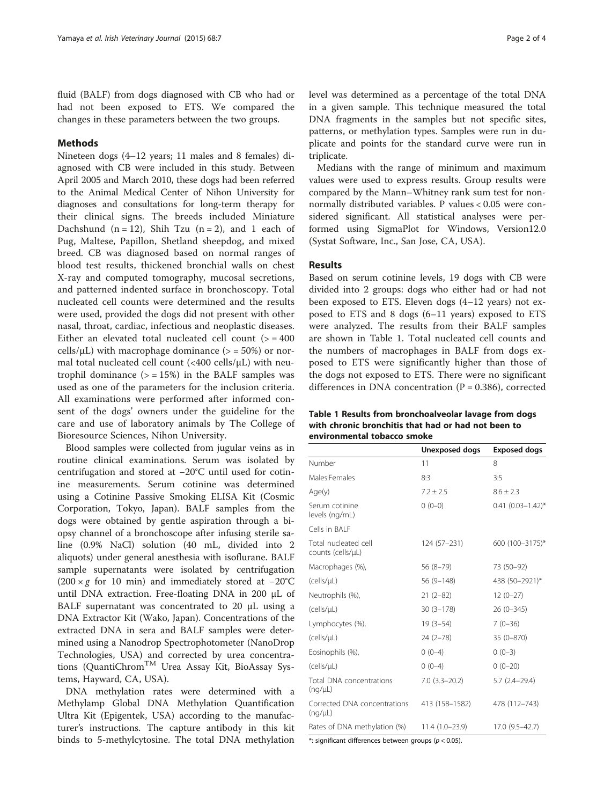<span id="page-1-0"></span>fluid (BALF) from dogs diagnosed with CB who had or had not been exposed to ETS. We compared the changes in these parameters between the two groups.

# Methods

Nineteen dogs (4–12 years; 11 males and 8 females) diagnosed with CB were included in this study. Between April 2005 and March 2010, these dogs had been referred to the Animal Medical Center of Nihon University for diagnoses and consultations for long-term therapy for their clinical signs. The breeds included Miniature Dachshund  $(n = 12)$ , Shih Tzu  $(n = 2)$ , and 1 each of Pug, Maltese, Papillon, Shetland sheepdog, and mixed breed. CB was diagnosed based on normal ranges of blood test results, thickened bronchial walls on chest X-ray and computed tomography, mucosal secretions, and patterned indented surface in bronchoscopy. Total nucleated cell counts were determined and the results were used, provided the dogs did not present with other nasal, throat, cardiac, infectious and neoplastic diseases. Either an elevated total nucleated cell count  $(>= 400$ cells/ $\mu$ L) with macrophage dominance ( $>$  = 50%) or normal total nucleated cell count (<400 cells/μL) with neutrophil dominance  $(>= 15%)$  in the BALF samples was used as one of the parameters for the inclusion criteria. All examinations were performed after informed consent of the dogs' owners under the guideline for the care and use of laboratory animals by The College of Bioresource Sciences, Nihon University.

Blood samples were collected from jugular veins as in routine clinical examinations. Serum was isolated by centrifugation and stored at −20°C until used for cotinine measurements. Serum cotinine was determined using a Cotinine Passive Smoking ELISA Kit (Cosmic Corporation, Tokyo, Japan). BALF samples from the dogs were obtained by gentle aspiration through a biopsy channel of a bronchoscope after infusing sterile saline (0.9% NaCl) solution (40 mL, divided into 2 aliquots) under general anesthesia with isoflurane. BALF sample supernatants were isolated by centrifugation (200 × g for 10 min) and immediately stored at <sup>−</sup>20°C until DNA extraction. Free-floating DNA in 200 μL of BALF supernatant was concentrated to 20 μL using a DNA Extractor Kit (Wako, Japan). Concentrations of the extracted DNA in sera and BALF samples were determined using a Nanodrop Spectrophotometer (NanoDrop Technologies, USA) and corrected by urea concentrations (QuantiChrom<sup>TM</sup> Urea Assay Kit, BioAssay Systems, Hayward, CA, USA).

DNA methylation rates were determined with a Methylamp Global DNA Methylation Quantification Ultra Kit (Epigentek, USA) according to the manufacturer's instructions. The capture antibody in this kit binds to 5-methylcytosine. The total DNA methylation level was determined as a percentage of the total DNA in a given sample. This technique measured the total DNA fragments in the samples but not specific sites, patterns, or methylation types. Samples were run in duplicate and points for the standard curve were run in triplicate.

Medians with the range of minimum and maximum values were used to express results. Group results were compared by the Mann–Whitney rank sum test for nonnormally distributed variables. P values < 0.05 were considered significant. All statistical analyses were performed using SigmaPlot for Windows, Version12.0 (Systat Software, Inc., San Jose, CA, USA).

### Results

Based on serum cotinine levels, 19 dogs with CB were divided into 2 groups: dogs who either had or had not been exposed to ETS. Eleven dogs (4–12 years) not exposed to ETS and 8 dogs (6–11 years) exposed to ETS were analyzed. The results from their BALF samples are shown in Table 1. Total nucleated cell counts and the numbers of macrophages in BALF from dogs exposed to ETS were significantly higher than those of the dogs not exposed to ETS. There were no significant differences in DNA concentration  $(P = 0.386)$ , corrected

Table 1 Results from bronchoalveolar lavage from dogs with chronic bronchitis that had or had not been to environmental tobacco smoke

|                                           | Unexposed dogs   | <b>Exposed dogs</b>    |
|-------------------------------------------|------------------|------------------------|
| Number                                    | 11               | 8                      |
| Males:Females                             | 8:3              | 3:5                    |
| Age(y)                                    | $7.2 \pm 2.5$    | $8.6 \pm 2.3$          |
| Serum cotinine<br>levels (ng/mL)          | $0(0-0)$         | $0.41 (0.03 - 1.42)^*$ |
| Cells in BAI F                            |                  |                        |
| Total nucleated cell<br>counts (cells/µL) | 124 (57-231)     | 600 (100-3175)*        |
| Macrophages (%),                          | $56(8-79)$       | 73 (50-92)             |
| (cells/uL)                                | 56 (9-148)       | 438 (50-2921)*         |
| Neutrophils (%),                          | $21(2-82)$       | $12(0-27)$             |
| (cells/µL)                                | $30(3 - 178)$    | $26(0-345)$            |
| Lymphocytes (%),                          | $19(3-54)$       | $7(0-36)$              |
| (cells/µL)                                | $24(2 - 78)$     | 35 (0-870)             |
| Eosinophils (%),                          | $0(0-4)$         | $0(0-3)$               |
| (cells/µL)                                | $0(0-4)$         | $0(0-20)$              |
| Total DNA concentrations<br>(nq/µL)       | $7.0(3.3-20.2)$  | $5.7(2.4 - 29.4)$      |
| Corrected DNA concentrations<br>(nq/µL)   | 413 (158-1582)   | 478 (112-743)          |
| Rates of DNA methylation (%)              | $11.4(1.0-23.9)$ | 17.0 (9.5-42.7)        |

\*: significant differences between groups ( $p < 0.05$ ).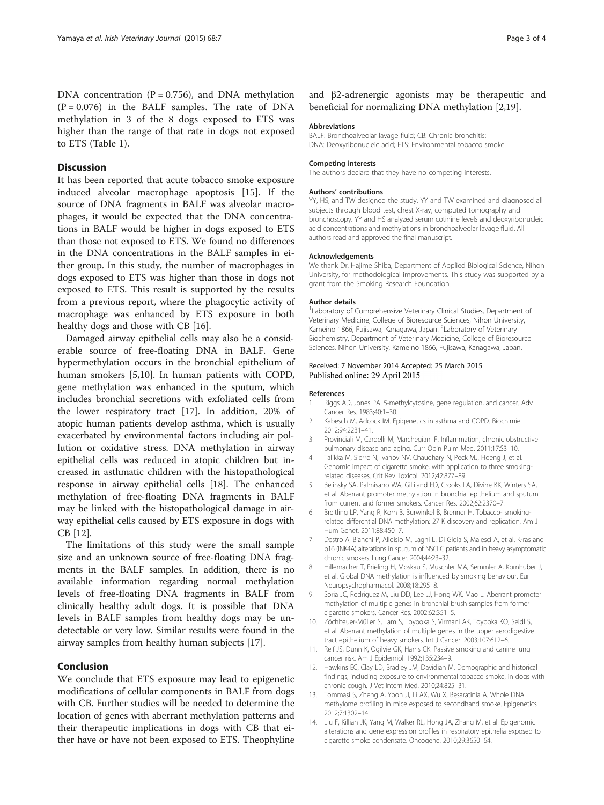<span id="page-2-0"></span>DNA concentration ( $P = 0.756$ ), and DNA methylation  $(P = 0.076)$  in the BALF samples. The rate of DNA methylation in 3 of the 8 dogs exposed to ETS was higher than the range of that rate in dogs not exposed to ETS (Table [1](#page-1-0)).

## **Discussion**

It has been reported that acute tobacco smoke exposure induced alveolar macrophage apoptosis [[15](#page-3-0)]. If the source of DNA fragments in BALF was alveolar macrophages, it would be expected that the DNA concentrations in BALF would be higher in dogs exposed to ETS than those not exposed to ETS. We found no differences in the DNA concentrations in the BALF samples in either group. In this study, the number of macrophages in dogs exposed to ETS was higher than those in dogs not exposed to ETS. This result is supported by the results from a previous report, where the phagocytic activity of macrophage was enhanced by ETS exposure in both healthy dogs and those with CB [\[16\]](#page-3-0).

Damaged airway epithelial cells may also be a considerable source of free-floating DNA in BALF. Gene hypermethylation occurs in the bronchial epithelium of human smokers [5,10]. In human patients with COPD, gene methylation was enhanced in the sputum, which includes bronchial secretions with exfoliated cells from the lower respiratory tract [\[17](#page-3-0)]. In addition, 20% of atopic human patients develop asthma, which is usually exacerbated by environmental factors including air pollution or oxidative stress. DNA methylation in airway epithelial cells was reduced in atopic children but increased in asthmatic children with the histopathological response in airway epithelial cells [\[18\]](#page-3-0). The enhanced methylation of free-floating DNA fragments in BALF may be linked with the histopathological damage in airway epithelial cells caused by ETS exposure in dogs with CB [12].

The limitations of this study were the small sample size and an unknown source of free-floating DNA fragments in the BALF samples. In addition, there is no available information regarding normal methylation levels of free-floating DNA fragments in BALF from clinically healthy adult dogs. It is possible that DNA levels in BALF samples from healthy dogs may be undetectable or very low. Similar results were found in the airway samples from healthy human subjects [[17\]](#page-3-0).

# Conclusion

We conclude that ETS exposure may lead to epigenetic modifications of cellular components in BALF from dogs with CB. Further studies will be needed to determine the location of genes with aberrant methylation patterns and their therapeutic implications in dogs with CB that either have or have not been exposed to ETS. Theophyline and β2-adrenergic agonists may be therapeutic and beneficial for normalizing DNA methylation [2[,19\]](#page-3-0).

#### Abbreviations

BALF: Bronchoalveolar lavage fluid; CB: Chronic bronchitis; DNA: Deoxyribonucleic acid; ETS: Environmental tobacco smoke.

#### Competing interests

The authors declare that they have no competing interests.

#### Authors' contributions

YY, HS, and TW designed the study. YY and TW examined and diagnosed all subjects through blood test, chest X-ray, computed tomography and bronchoscopy. YY and HS analyzed serum cotinine levels and deoxyribonucleic acid concentrations and methylations in bronchoalveolar lavage fluid. All authors read and approved the final manuscript.

#### Acknowledgements

We thank Dr. Hajime Shiba, Department of Applied Biological Science, Nihon University, for methodological improvements. This study was supported by a grant from the Smoking Research Foundation.

#### Author details

<sup>1</sup> Laboratory of Comprehensive Veterinary Clinical Studies, Department of Veterinary Medicine, College of Bioresource Sciences, Nihon University, Kameino 1866, Fujisawa, Kanagawa, Japan. <sup>2</sup>Laboratory of Veterinary Biochemistry, Department of Veterinary Medicine, College of Bioresource Sciences, Nihon University, Kameino 1866, Fujisawa, Kanagawa, Japan.

#### Received: 7 November 2014 Accepted: 25 March 2015 Published online: 29 April 2015

#### References

- 1. Riggs AD, Jones PA. 5-methylcytosine, gene regulation, and cancer. Adv Cancer Res. 1983;40:1–30.
- 2. Kabesch M, Adcock IM. Epigenetics in asthma and COPD. Biochimie. 2012;94:2231–41.
- 3. Provinciali M, Cardelli M, Marchegiani F. Inflammation, chronic obstructive pulmonary disease and aging. Curr Opin Pulm Med. 2011;17:S3–10.
- 4. Talikka M, Sierro N, Ivanov NV, Chaudhary N, Peck MJ, Hoeng J, et al. Genomic impact of cigarette smoke, with application to three smokingrelated diseases. Crit Rev Toxicol. 2012;42:877–89.
- 5. Belinsky SA, Palmisano WA, Gilliland FD, Crooks LA, Divine KK, Winters SA, et al. Aberrant promoter methylation in bronchial epithelium and sputum from current and former smokers. Cancer Res. 2002;62:2370–7.
- 6. Breitling LP, Yang R, Korn B, Burwinkel B, Brenner H. Tobacco- smokingrelated differential DNA methylation: 27 K discovery and replication. Am J Hum Genet. 2011;88:450–7.
- 7. Destro A, Bianchi P, Alloisio M, Laghi L, Di Gioia S, Malesci A, et al. K-ras and p16 (INK4A) alterations in sputum of NSCLC patients and in heavy asymptomatic chronic smokers. Lung Cancer. 2004;44:23–32.
- 8. Hillemacher T, Frieling H, Moskau S, Muschler MA, Semmler A, Kornhuber J, et al. Global DNA methylation is influenced by smoking behaviour. Eur Neuropsychopharmacol. 2008;18:295–8.
- Soria JC, Rodriguez M, Liu DD, Lee JJ, Hong WK, Mao L. Aberrant promoter methylation of multiple genes in bronchial brush samples from former cigarette smokers. Cancer Res. 2002;62:351–5.
- 10. Zöchbauer-Müller S, Lam S, Toyooka S, Virmani AK, Toyooka KO, Seidl S, et al. Aberrant methylation of multiple genes in the upper aerodigestive tract epithelium of heavy smokers. Int J Cancer. 2003;107:612–6.
- 11. Reif JS, Dunn K, Ogilvie GK, Harris CK. Passive smoking and canine lung cancer risk. Am J Epidemiol. 1992;135:234–9.
- 12. Hawkins EC, Clay LD, Bradley JM, Davidian M. Demographic and historical findings, including exposure to environmental tobacco smoke, in dogs with chronic cough. J Vet Intern Med. 2010;24:825–31.
- 13. Tommasi S, Zheng A, Yoon JI, Li AX, Wu X, Besaratinia A. Whole DNA methylome profiling in mice exposed to secondhand smoke. Epigenetics. 2012;7:1302–14.
- 14. Liu F, Killian JK, Yang M, Walker RL, Hong JA, Zhang M, et al. Epigenomic alterations and gene expression profiles in respiratory epithelia exposed to cigarette smoke condensate. Oncogene. 2010;29:3650–64.